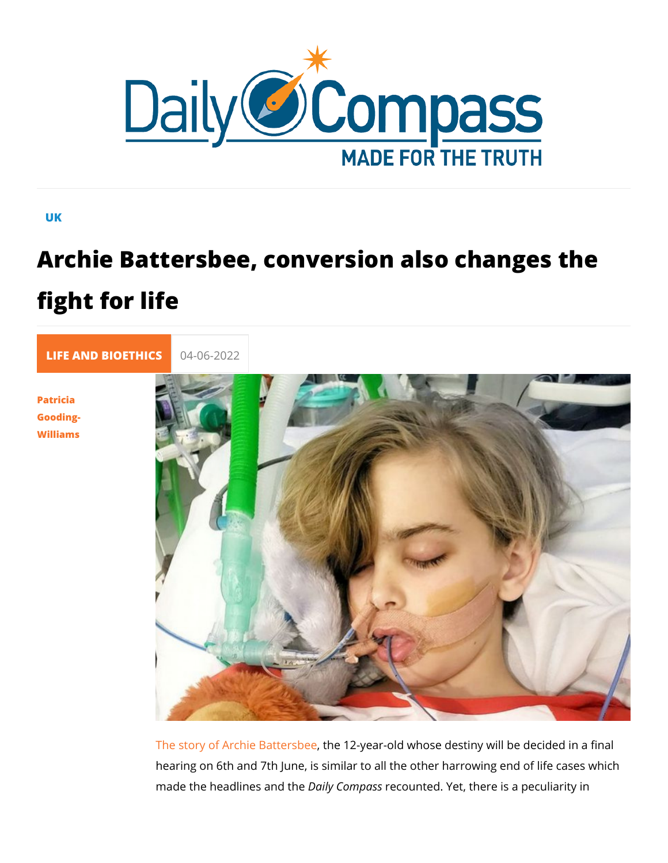## UK

## Archie Battersbee, conversion also cha fight for life

[LIFE AND BIOE](https://newdailycompass.com/en/life-and-bioethics) 04-06-2022

[Patric](/en/patricia-gooding-williams-1)ia [Goodin](/en/patricia-gooding-williams-1)g- [William](/en/patricia-gooding-williams-1)s

> [The story of Archie](https://lanuovabq.it/it/archie-un-altro-bambino-vittima-del-best-interests) Bahtee 12byear-old whose destiny will be ded hearing on 6th and 7th June, is similar to all the other harrow made the headlines Daild the mpeass unted. Yet, there is a peculiary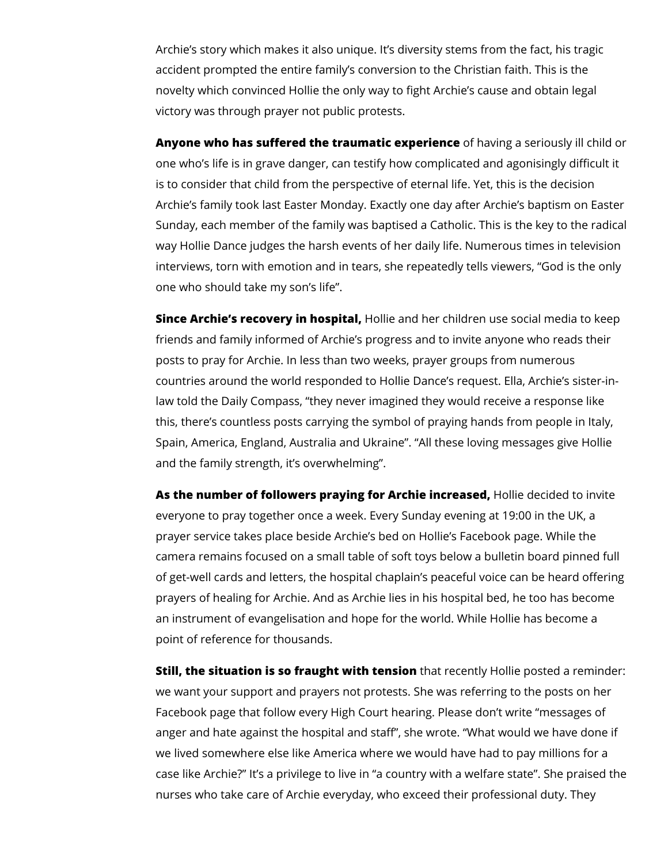Archie's story which makes it also unique. It's diversity stems from the fact, his tragic accident prompted the entire family's conversion to the Christian faith. This is the novelty which convinced Hollie the only way to fight Archie's cause and obtain legal victory was through prayer not public protests.

**Anyone who has suffered the traumatic experience** of having a seriously ill child or one who's life is in grave danger, can testify how complicated and agonisingly difficult it is to consider that child from the perspective of eternal life. Yet, this is the decision Archie's family took last Easter Monday. Exactly one day after Archie's baptism on Easter Sunday, each member of the family was baptised a Catholic. This is the key to the radical way Hollie Dance judges the harsh events of her daily life. Numerous times in television interviews, torn with emotion and in tears, she repeatedly tells viewers, "God is the only one who should take my son's life".

**Since Archie's recovery in hospital,** Hollie and her children use social media to keep friends and family informed of Archie's progress and to invite anyone who reads their posts to pray for Archie. In less than two weeks, prayer groups from numerous countries around the world responded to Hollie Dance's request. Ella, Archie's sister-inlaw told the Daily Compass, "they never imagined they would receive a response like this, there's countless posts carrying the symbol of praying hands from people in Italy, Spain, America, England, Australia and Ukraine". "All these loving messages give Hollie and the family strength, it's overwhelming".

**As the number of followers praying for Archie increased,** Hollie decided to invite everyone to pray together once a week. Every Sunday evening at 19:00 in the UK, a prayer service takes place beside Archie's bed on Hollie's Facebook page. While the camera remains focused on a small table of soft toys below a bulletin board pinned full of get-well cards and letters, the hospital chaplain's peaceful voice can be heard offering prayers of healing for Archie. And as Archie lies in his hospital bed, he too has become an instrument of evangelisation and hope for the world. While Hollie has become a point of reference for thousands.

**Still, the situation is so fraught with tension** that recently Hollie posted a reminder: we want your support and prayers not protests. She was referring to the posts on her Facebook page that follow every High Court hearing. Please don't write "messages of anger and hate against the hospital and staff", she wrote. "What would we have done if we lived somewhere else like America where we would have had to pay millions for a case like Archie?" It's a privilege to live in "a country with a welfare state". She praised the nurses who take care of Archie everyday, who exceed their professional duty. They